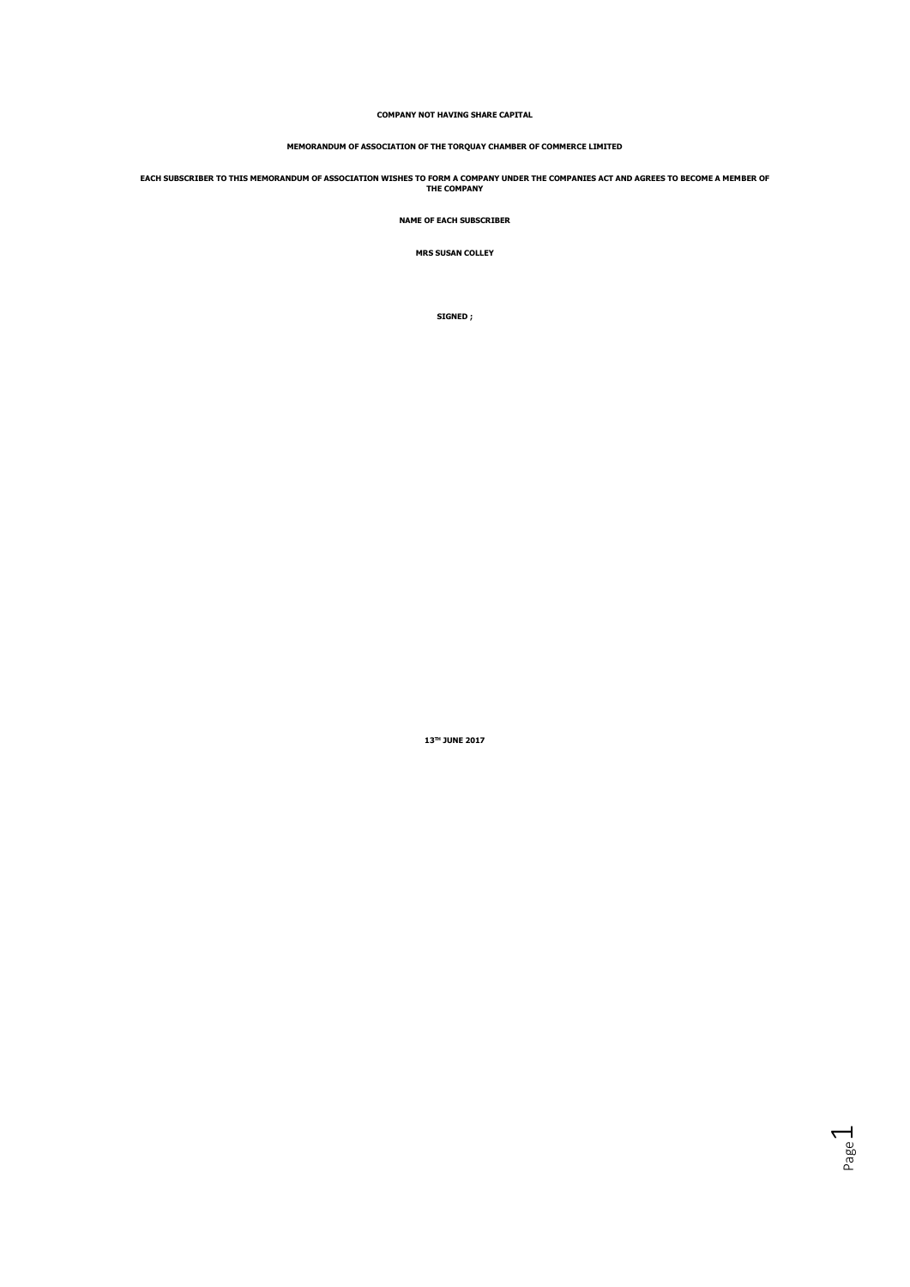# **COMPANY NOT HAVING SHARE CAPITAL**

# **MEMORANDUM OF ASSOCIATION OF THE TORQUAY CHAMBER OF COMMERCE LIMITED**

**EACH SUBSCRIBER TO THIS MEMORANDUM OF ASSOCIATION WISHES TO FORM A COMPANY UNDER THE COMPANIES ACT AND AGREES TO BECOME A MEMBER OF THE COMPANY**

**NAME OF EACH SUBSCRIBER** 

**MRS SUSAN COLLEY** 

**SIGNED ;** 

**13TH JUNE 2017** 

Page  $\overline{\phantom{0}}$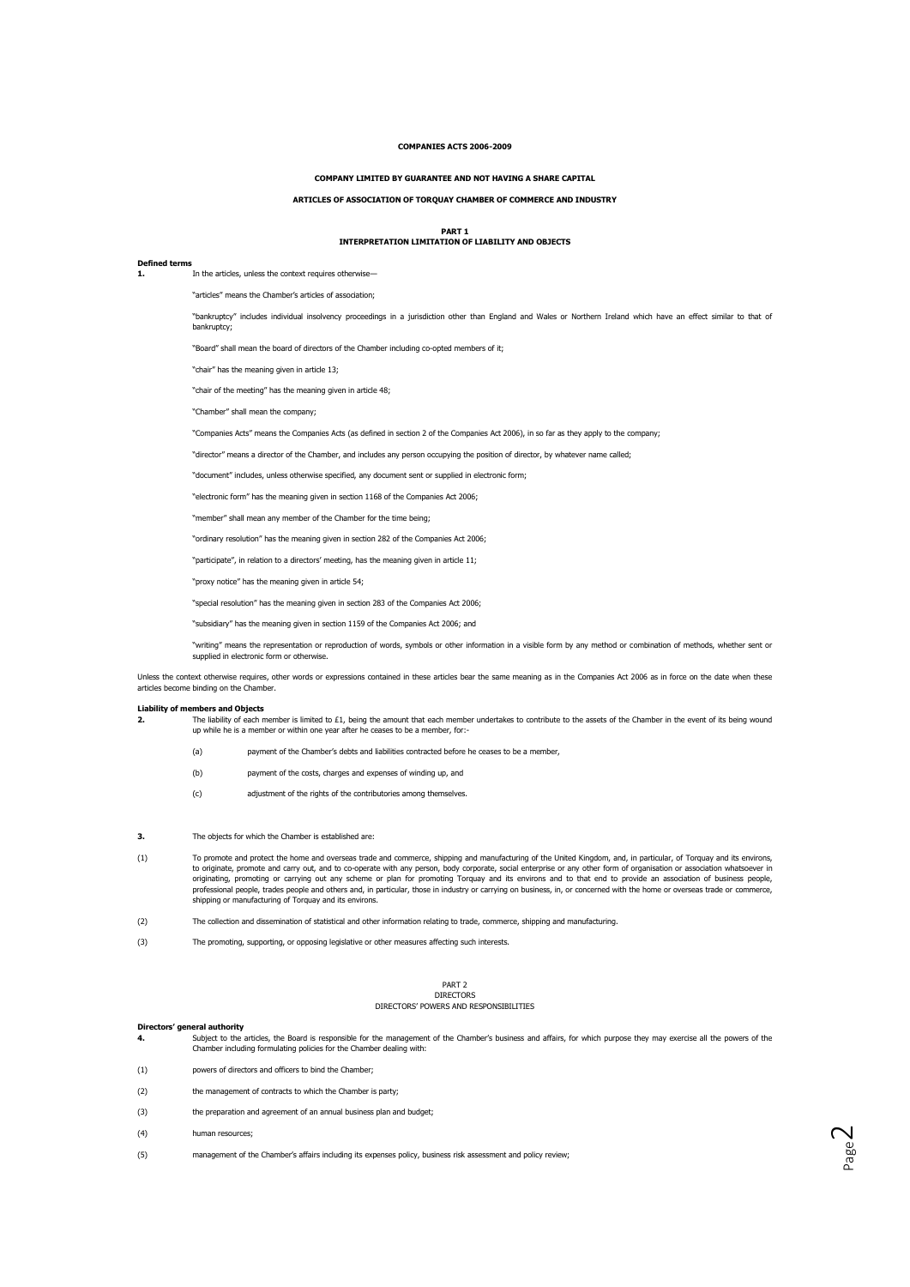# **COMPANIES ACTS 2006-2009**

## **COMPANY LIMITED BY GUARANTEE AND NOT HAVING A SHARE CAPITAL**

## **ARTICLES OF ASSOCIATION OF TORQUAY CHAMBER OF COMMERCE AND INDUSTRY**

# **PART 1 INTERPRETATION LIMITATION OF LIABILITY AND OBJECTS**

## **Defined terms**

In the articles, unless the context requires otherwise-

"articles" means the Chamber's articles of association;

"bankruptcy" includes individual insolvency proceedings in a jurisdiction other than England and Wales or Northern Ireland which have an effect similar to that of bankruptcy;

"Board" shall mean the board of directors of the Chamber including co-opted members of it;

"chair" has the meaning given in article 13;

"chair of the meeting" has the meaning given in article 48;

"Chamber" shall mean the company;

"Companies Acts" means the Companies Acts (as defined in section 2 of the Companies Act 2006), in so far as they apply to the company;

"director" means a director of the Chamber, and includes any person occupying the position of director, by whatever name called;

"document" includes, unless otherwise specified, any document sent or supplied in electronic form;

"electronic form" has the meaning given in section 1168 of the Companies Act 2006;

"member" shall mean any member of the Chamber for the time being;

"ordinary resolution" has the meaning given in section 282 of the Companies Act 2006;

"participate", in relation to a directors' meeting, has the meaning given in article 11;

"proxy notice" has the meaning given in article 54;

"special resolution" has the meaning given in section 283 of the Companies Act 2006;

"subsidiary" has the meaning given in section 1159 of the Companies Act 2006; and

"writing" means the representation or reproduction of words, symbols or other information in a visible form by any method or combination of methods, whether sent or supplied in electronic form or otherwise

Unless the context otherwise requires, other words or expressions contained in these articles bear the same meaning as in the Companies Act 2006 as in force on the date when these articles become binding on the Chamber.

## **Liability of members and Objects**

- **2.** The liability of each member is limited to £1, being the amount that each member undertakes to contribute to the assets of the Chamber in the event of its being wound up while he is a member or within one year after he ceases to be a member, for:-
	- (a) payment of the Chamber's debts and liabilities contracted before he ceases to be a member,
	- (b) payment of the costs, charges and expenses of winding up, and
	- (c) adjustment of the rights of the contributories among themselves.
- **3.** The objects for which the Chamber is established are:
- (1) To promote and protect the home and overseas trade and commerce, shipping and manufacturing of the United Kingdom, and, in particular, of Torquay and its environs, to originate, promote and carry out, and to co-operate with any person, body corporate, social enterprise or any other form of organisation or association whatsoever in originating, promoting or carrying out any scheme or plan for promoting Torquay and its environs and to that end to provide an association of business people, professional people, trades people and others and, in particular, those in industry or carrying on business, in, or concerned with the home or overseas trade or commerce, shipping or manufacturing of Torquay and its environs.
- (2) The collection and dissemination of statistical and other information relating to trade, commerce, shipping and manufacturing.
- (3) The promoting, supporting, or opposing legislative or other measures affecting such interests.

### PART 2 DIRECTORS

# DIRECTORS' POWERS AND RESPONSIBILITIES

# **Directors' general authority**<br>**4.** Subject to the

- **4.** Subject to the articles, the Board is responsible for the management of the Chamber's business and affairs, for which purpose they may exercise all the powers of the Chamber including formulating policies for the Chamber dealing with:
- (1) powers of directors and officers to bind the Chamber;
- (2) the management of contracts to which the Chamber is party;
- (3) the preparation and agreement of an annual business plan and budget;
- (4) human resources;
- (5) management of the Chamber's affairs including its expenses policy, business risk assessment and policy review;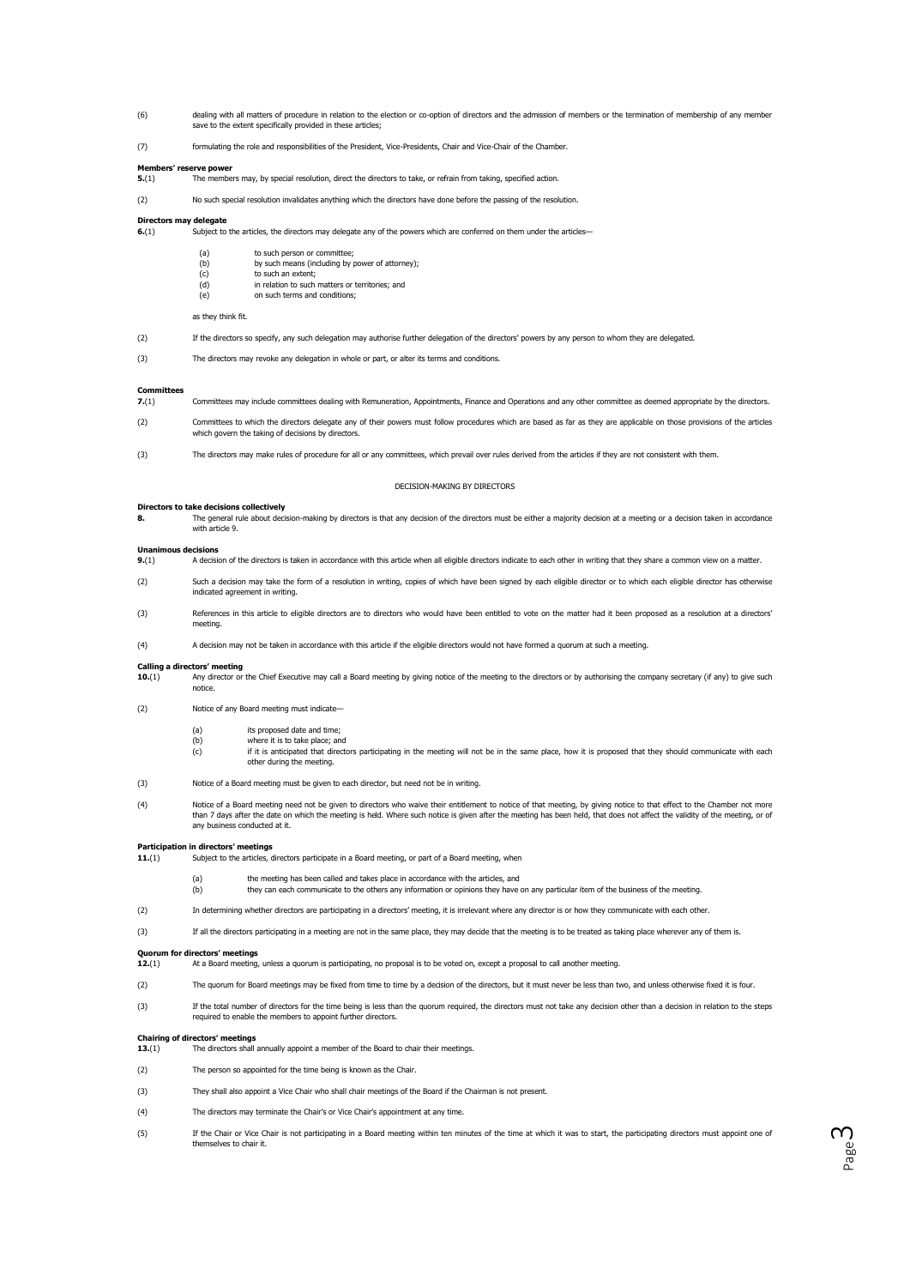- dealing with all matters of procedure in relation to the election or co-option of directors and the admission of members or the termination of membership of any member<br>save to the extent specifically provided in these arti
- (7) formulating the role and responsibilities of the President, Vice-Presidents, Chair and Vice-Chair of the Chamber.

# **Members' reserve power**<br>**5.**(1) The member

**5.**(1) The members may, by special resolution, direct the directors to take, or refrain from taking, specified action.

(2) No such special resolution invalidates anything which the directors have done before the passing of the resolution.

# **Directors may delegate**<br>**6.**(1) Subject to

Subject to the articles, the directors may delegate any of the powers which are conferred on them under the articles-

| (a)    | to such person or committee;                    |
|--------|-------------------------------------------------|
| (b)    | by such means (including by power of attorney); |
| (c)    | to such an extent:                              |
| $\sim$ | to unlating to accelerate an exceptional and    |

(d) in relation to such m<br>(e) on such terms and c on such terms and conditions;

## as they think fit.

- (2) If the directors so specify, any such delegation may authorise further delegation of the directors' powers by any person to whom they are delegated.
- (3) The directors may revoke any delegation in whole or part, or alter its terms and conditions.

### **Committees**

- **7.**(1) Committees may include committees dealing with Remuneration, Appointments, Finance and Operations and any other committee as deemed appropriate by the directors.
- (2) Committees to which the directors delegate any of their powers must follow procedures which are based as far as they are applicable on those provisions of the articles which govern the taking of decisions by directors.
- (3) The directors may make rules of procedure for all or any committees, which prevail over rules derived from the articles if they are not consistent with them.

### DECISION-MAKING BY DIRECTORS

## **Directors to take decisions collectively**

8. The general rule about decision-making by directors is that any decision of the directors must be either a majority decision at a meeting or a decision taken in accordance with article 9.

### **Unanimous decisions**

- **9.**(1) A decision of the directors is taken in accordance with this article when all eligible directors indicate to each other in writing that they share a common view on a matter.
- (2) Such a decision may take the form of a resolution in writing, copies of which have been signed by each eligible director or to which each eligible director has otherwise indicated agreement in writing.
- (3) References in this article to eligible directors are to directors who would have been entitled to vote on the matter had it been proposed as a resolution at a directors' meeting.

(4) A decision may not be taken in accordance with this article if the eligible directors would not have formed a quorum at such a meeting.

# **Calling a directors' meeting**<br>**10.**(1) Any director of

- **10.** Any director or the Chief Executive may call a Board meeting by giving notice of the meeting to the directors or by authorising the company secretary (if any) to give such notice.
- (2) Notice of any Board meeting must indicate—
	- (a) its proposed date and time;<br>(b) where it is to take place; an
	- where it is to take place; and
	- (c) if it is anticipated that directors participating in the meeting will not be in the same place, how it is proposed that they should communicate with each other during the meeting.
- (3) Notice of a Board meeting must be given to each director, but need not be in writing.
- Notice of a Board meeting need not be given to directors who waive their entitlement to notice of that meeting, by giving notice to that effect to the Chamber not more)<br>than 7 days after the date on which the meeting is he any business conducted at it.

# **Participation in directors' meetings<br>11.**(1) Subject to the articles,

Subject to the articles, directors participate in a Board meeting, or part of a Board meeting, when

- (a) the meeting has been called and takes place in accordance with the articles, and (b) they can each communicate to the others any information or opinions they have on any particular item of the business of the meeting.
- (2) In determining whether directors are participating in a directors' meeting, it is irrelevant where any director is or how they communicate with each other.
- (3) If all the directors participating in a meeting are not in the same place, they may decide that the meeting is to be treated as taking place wherever any of them is.

# **Quorum for directors' meetings**<br>**12.**(1) At a Board meeting

- At a Board meeting, unless a quorum is participating, no proposal is to be voted on, except a proposal to call another meeting.
- (2) The quorum for Board meetings may be fixed from time to time by a decision of the directors, but it must never be less than two, and unless otherwise fixed it is four.
- (3) If the total number of directors for the time being is less than the quorum required, the directors must not take any decision other than a decision in relation to the steps required to enable the members to appoint further directors.

# **Chairing of directors' meetings**

- **13.**(1) The directors shall annually appoint a member of the Board to chair their meetings.
- (2) The person so appointed for the time being is known as the Chair.
- (3) They shall also appoint a Vice Chair who shall chair meetings of the Board if the Chairman is not present.
- (4) The directors may terminate the Chair's or Vice Chair's appointment at any time.
- (5) If the Chair or Vice Chair is not participating in a Board meeting within ten minutes of the time at which it was to start, the participating directors must appoint one of themselves to chair it.

Page ന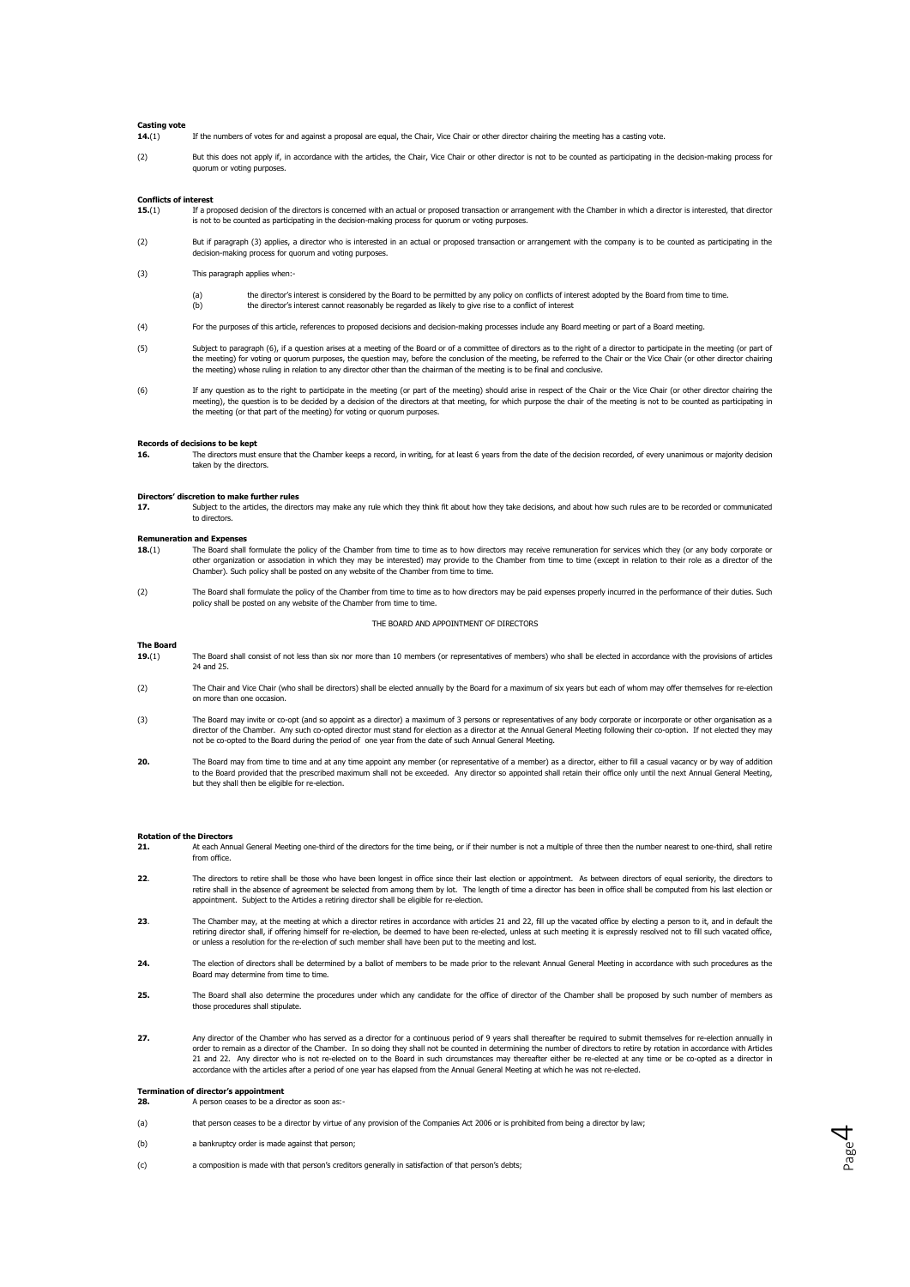# **Casting vote**

**14.**(1) If the numbers of votes for and against a proposal are equal, the Chair, Vice Chair or other director chairing the meeting has a casting vote.

(2) But this does not apply if, in accordance with the articles, the Chair, Vice Chair or other director is not to be counted as participating in the decision-making process for quorum or voting purposes

# **Conflicts of interest**<br>**15.**(1) If a pr

- **15.**(1) If a proposed decision of the directors is concerned with an actual or proposed transaction or arrangement with the Chamber in which a director is interested, that director is not to be counted as participating in the decision-making process for quorum or voting purposes.
- (2) But if paragraph (3) applies, a director who is interested in an actual or proposed transaction or arrangement with the company is to be counted as participating in the decision-making process for quorum and voting purposes.
- (3) This paragraph applies when
	- the director's interest is considered by the Board to be permitted by any policy on conflicts of interest adopted by the Board from time to time. (b) the director's interest cannot reasonably be regarded as likely to give rise to a conflict of interest
- (4) For the purposes of this article, references to proposed decisions and decision-making processes include any Board meeting or part of a Board meeting.
- $(5)$  Subject to paragraph (6), if a question arises at a meeting of the Board or of a committee of directors as to the right of a director to participate in the meeting (or part of the meeting) for voting or quorum purposes, the question may, before the conclusion of the meeting, be referred to the Chair or the Vice Chair (or other director chairing<br>the meeting) whose ruling in relation to any direct
- (6) If any question as to the right to participate in the meeting (or part of the meeting) should arise in respect of the Chair or the Vice Chair (or other director chairing the meeting), the question is to be decided by a decision of the directors at that meeting, for which purpose the chair of the meeting is not to be counted as participating in<br>the meeting (or that part of the meeting) for voti

# **Records of decisions to be kept**<br>**16.** The directors must

**16.** The directors must ensure that the Chamber keeps a record, in writing, for at least 6 years from the date of the decision recorded, of every unanimous or majority decision taken by the directors.

# **Directors' discretion to make further rules**<br>**17.** Subject to the articles, the direct

**17.** Subject to the articles, the directors may make any rule which they think fit about how they take decisions, and about how such rules are to be recorded or communicated to directors.

# **Remuneration and Expense**<br>**18.**(1) The Board sha

- **18.**(1) The Board shall formulate the policy of the Chamber from time to time as to how directors may receive remuneration for services which they (or any body corporate or other organization or association in which they may be interested) may provide to the Chamber from time to time (except in relation to their role as a director of the Chamber). Such policy shall be posted on any website of the Chamber from time to time.
- (2) The Board shall formulate the policy of the Chamber from time to time as to how directors may be paid expenses properly incurred in the performance of their duties. Such policy shall be posted on any website of the Chamber from time to time.

## THE BOARD AND APPOINTMENT OF DIRECTORS

## **The Board**

- 19.(1) The Board shall consist of not less than six nor more than 10 members (or representatives of members) who shall be elected in accordance with the provisions of articles 24 and 25.
- (2) The Chair and Vice Chair (who shall be directors) shall be elected annually by the Board for a maximum of six years but each of whom may offer themselves for re-election on more than one occasion.
- (3) The Board may invite or co-opt (and so appoint as a director) a maximum of 3 persons or representatives of any body corporate or incorporate or other organisation as a director of the Chamber. Any such co-opted director must stand for election as a director at the Annual General Meeting following their co-option. If not elected they may not be co-opted to the Board during the period of one year from the date of such Annual General Meeting.
- The Board may from time to time and at any time appoint any member (or representative of a member) as a director, either to fill a casual vacancy or by way of addition<br>to the Board provided that the prescribed maximum shal but they shall then be eligible for re-election.

### **Rotation of the Directors**

- **21.** At each Annual General Meeting one-third of the directors for the time being, or if their number is not a multiple of three then the number nearest to one-third, shall retire from office.
- **22**. The directors to retire shall be those who have been longest in office since their last election or appointment. As between directors of equal seniority, the directors to retire shall in the absence of agreement be selected from among them by lot. The length of time a director has been in office shall be computed from his last election or appointment. Subject to the Articles a retiring director shall be eligible for re-election.
- 23. The Chamber may, at the meeting at which a director retires in accordance with articles 21 and 22, fill up the vacated office by electing a person to it, and in default the retiring director shall, if offering himself for re-election, be deemed to have been re-elected, unless at such meeting it is expressly resolved not to fill such vacated office, or unless a resolution for the re-election of such member shall have been put to the meeting and lost.
- **24.** The election of directors shall be determined by a ballot of members to be made prior to the relevant Annual General Meeting in accordance with such procedures as the Board may determine from time to time.
- 25. The Board shall also determine the procedures under which any candidate for the office of director of the Chamber shall be proposed by such number of members as those procedures shall stipulate.
- 27. Any director of the Chamber who has served as a director for a continuous period of 9 years shall thereafter be required to submit themselves for re-election annually in order to remain as a director of the Chamber. In so doing they shall not be counted in determining the number of directors to retire by rotation in accordance with Articles<br>21 and 22. Any director who is not re-elected on accordance with the articles after a period of one year has elapsed from the Annual General Meeting at which he was not re-elected.

Page 4

- **Termination of director's appointment<br><b>28.** A person ceases to be a director as soon as:-
- (a) that person ceases to be a director by virtue of any provision of the Companies Act 2006 or is prohibited from being a director by law;
- (b) a bankruptcy order is made against that person;
- (c) a composition is made with that person's creditors generally in satisfaction of that person's debts;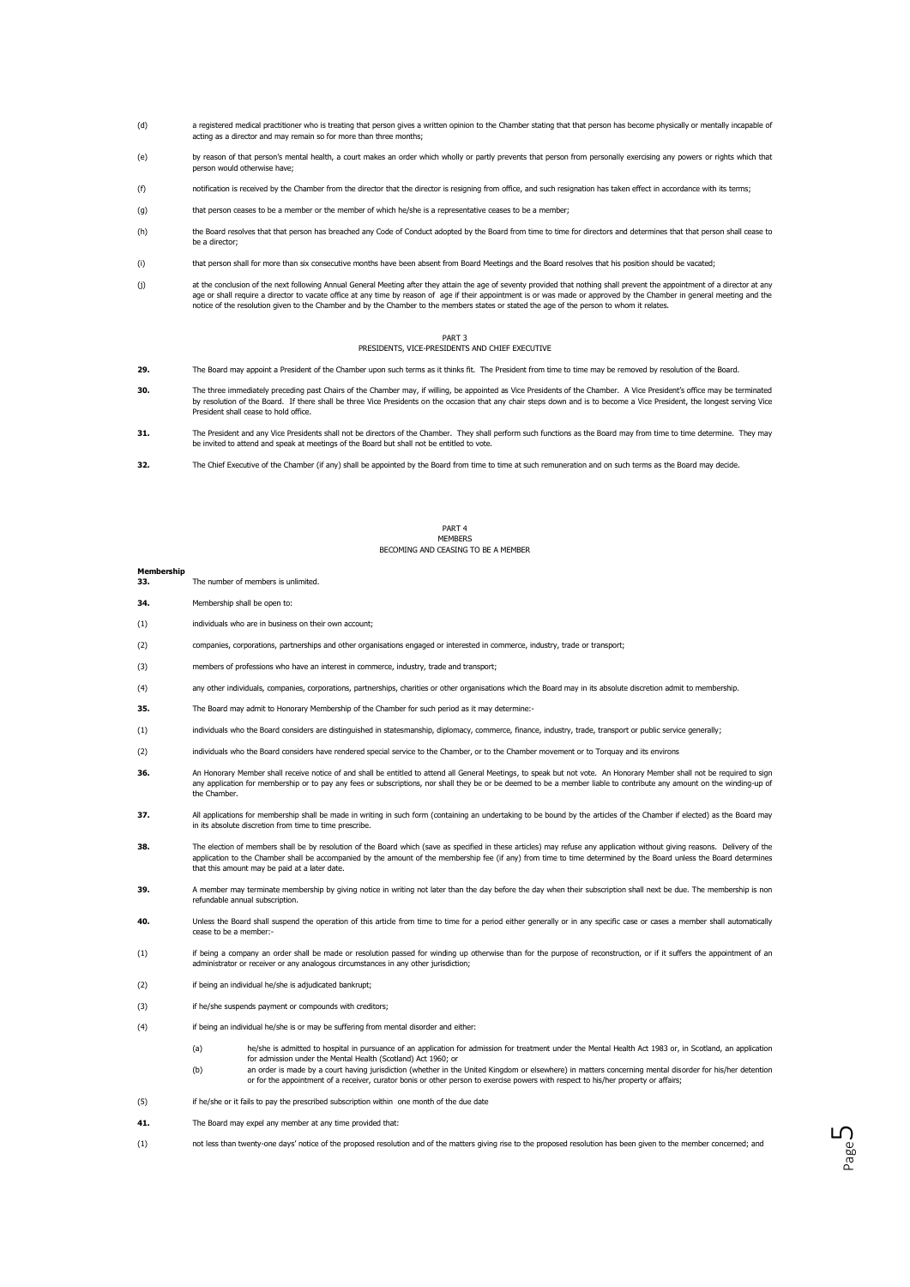- (d) a registered medical practitioner who is treating that person gives a written opinion to the Chamber stating that that person has become physically or mentally incapable of acting as a director and may remain so for more than three months;
- (e) by reason of that person's mental health, a court makes an order which wholly or partly prevents that person from personally exercising any powers or rights which that person would otherwise have;
- (f) notification is received by the Chamber from the director that the director is resigning from office, and such resignation has taken effect in accordance with its terms;
- (g) that person ceases to be a member or the member of which he/she is a representative ceases to be a member;
- (h) the Board resolves that that person has breached any Code of Conduct adopted by the Board from time to time for directors and determines that that person shall cease to be a director;
- (i) that person shall for more than six consecutive months have been absent from Board Meetings and the Board resolves that his position should be vacated;
- (i) at the conclusion of the next following Annual General Meeting after they attain the age of seventy provided that nothing shall prevent the appointment of a director at any age or shall require a director to vacate office at any time by reason of age if their appointment is or was made or approved by the Chamber in general meeting and the<br>notice of the resolution given to the Chamber and by t

### PART 3 PRESIDENTS, VICE-PRESIDENTS AND CHIEF EXECUTIVE

- **29.** The Board may appoint a President of the Chamber upon such terms as it thinks fit. The President from time to time may be removed by resolution of the Board.
- **30.** The three immediately preceding past Chairs of the Chamber may, if willing, be appointed as Vice Presidents of the Chamber. A Vice President's office may be terminated by resolution of the Board. If there shall be three Vice Presidents on the occasion that any chair steps down and is to become a Vice President, the longest serving Vice President shall cease to hold office.
- **31.** The President and any Vice Presidents shall not be directors of the Chamber. They shall perform such functions as the Board may from time to time determine. They may be invited to attend and speak at meetings of the Board but shall not be entitled to vote.
- **32.** The Chief Executive of the Chamber (if any) shall be appointed by the Board from time to time at such remuneration and on such terms as the Board may decide.

### PART 4 **MEMBERS** BECOMING AND CEASING TO BE A MEMBER

### **Membership**

- **33.** The number of members is unlimited.
- **34.** Membership shall be open to:
- (1) individuals who are in business on their own account;
- (2) companies, corporations, partnerships and other organisations engaged or interested in commerce, industry, trade or transport;
- (3) members of professions who have an interest in commerce, industry, trade and transport;
- (4) any other individuals, companies, corporations, partnerships, charities or other organisations which the Board may in its absolute discretion admit to membership.
- **35.** The Board may admit to Honorary Membership of the Chamber for such period as it may determine:-
- (1) individuals who the Board considers are distinguished in statesmanship, diplomacy, commerce, finance, industry, trade, transport or public service generally;
- (2) individuals who the Board considers have rendered special service to the Chamber, or to the Chamber movement or to Torquay and its environs
- **36.** An Honorary Member shall receive notice of and shall be entitled to attend all General Meetings, to speak but not vote. An Honorary Member shall not be required to sign any application for membership or to pay any fees or subscriptions, nor shall they be or be deemed to be a member liable to contribute any amount on the winding-up of the Chamber.
- **37.** All applications for membership shall be made in writing in such form (containing an undertaking to be bound by the articles of the Chamber if elected) as the Board may in its absolute discretion from time to time prescribe.
- **38.** The election of members shall be by resolution of the Board which (save as specified in these articles) may refuse any application without giving reasons. Delivery of the application to the Chamber shall be accompanied by the amount of the membership fee (if any) from time to time determined by the Board unless the Board determines that this amount may be paid at a later date.
- **39.** A member may terminate membership by giving notice in writing not later than the day before the day when their subscription shall next be due. The membership is non refundable annual subscription.
- 40. Unless the Board shall suspend the operation of this article from time to time for a period either generally or in any specific case or cases a member shall automatically cease to be a member:
- (1) if being a company an order shall be made or resolution passed for winding up otherwise than for the purpose of reconstruction, or if it suffers the appointment of an administrator or receiver or any analogous circumstances in any other jurisdiction;
- (2) if being an individual he/she is adjudicated bankrupt;
- (3) if he/she suspends payment or compounds with creditors;
- (4) if being an individual he/she is or may be suffering from mental disorder and either:
	- (a) he/she is admitted to hospital in pursuance of an application for admission for treatment under the Mental Health Act 1983 or, in Scotland, an application for admission under the Mental Health (Scotland) Act 1960; or<br>(b) an order is made by a court having jurisdiction (whether in the United Kingdom or elsewhere) in matters concerning mental disorder for his/her detention)
	- or for the appointment of a receiver, curator bonis or other person to exercise powers with respect to his/her property or affairs;

Page ഥ

- (5) if he/she or it fails to pay the prescribed subscription within one month of the due date
- **41.** The Board may expel any member at any time provided that:
- (1) not less than twenty-one days' notice of the proposed resolution and of the matters giving rise to the proposed resolution has been given to the member concerned; and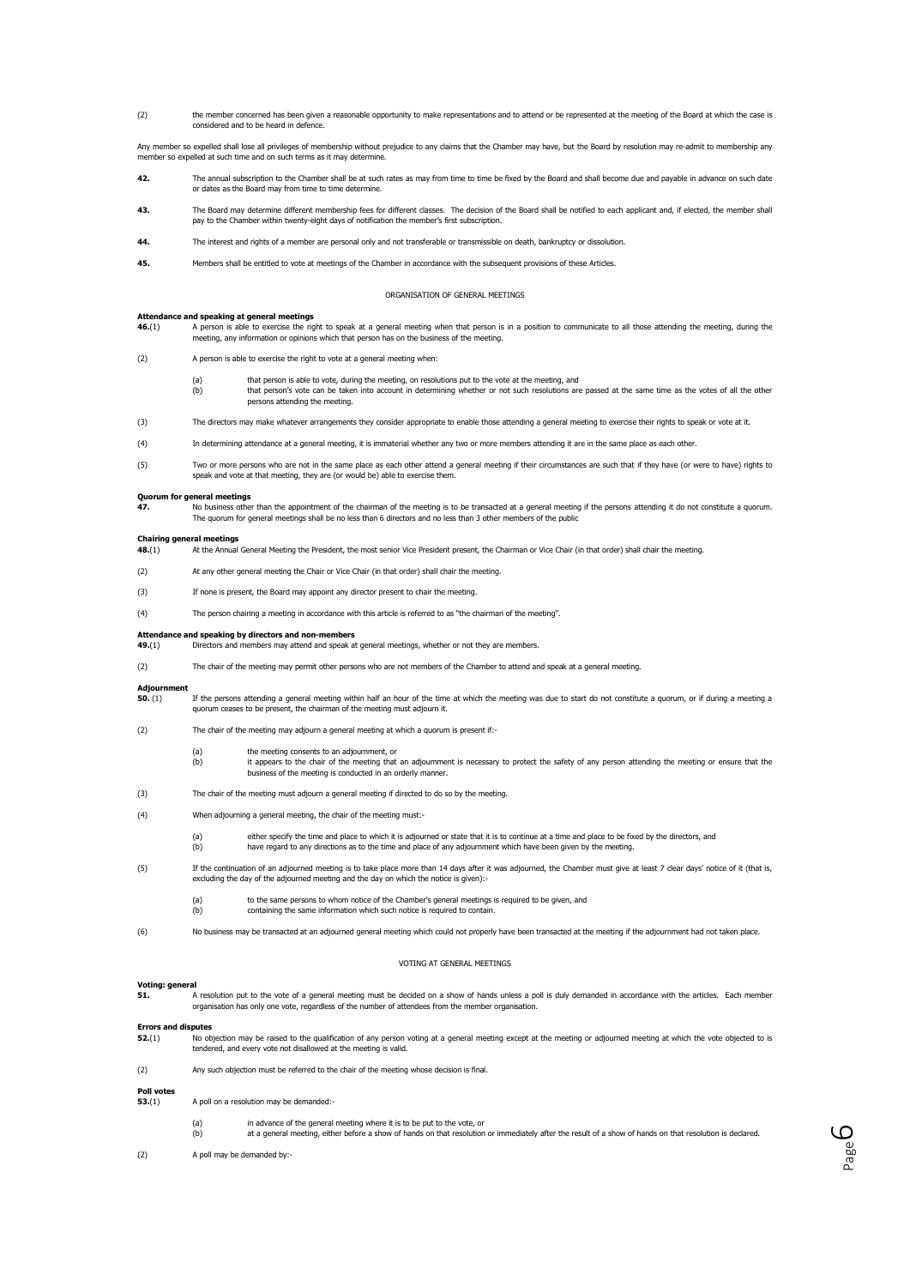(2) the member concerned has been given a reasonable opportunity to make representations and to attend or be represented at the meeting of the Board at which the case is considered and to be heard in defence.

Any member so expelled shall lose all privileges of membership without prejudice to any claims that the Chamber may have, but the Board by resolution may re-admit to membership any member so expelled at such time and on such terms as it may determine.

- **42.** The annual subscription to the Chamber shall be at such rates as may from time to time be fixed by the Board and shall become due and payable in advance on such date or dates as the Board may from time to time determine.
- 43. The Board may determine different membership fees for different classes. The decision of the Board shall be notified to each applicant and, if elected, the member shall pay to the Chamber within twenty-eight days of notification the member's first subscription.
- **44.** The interest and rights of a member are personal only and not transferable or transmissible on death, bankruptcy or dissolution.
- **45.** Members shall be entitled to vote at meetings of the Chamber in accordance with the subsequent provisions of these Articles.

## ORGANISATION OF GENERAL MEETINGS

## **Attendance and speaking at general meetings**

A6.(1) A person is able to exercise the right to speak at a general meeting when that person is in a position to communicate to all those attending the meeting, during the meeting, during the meeting, any information or opinions which that person has on the business of the meeting.

- (2) A person is able to exercise the right to vote at a general meeting when:
	- (a) that person is able to vote, during the meeting, on resolutions put to the vote at the meeting, and
	- (b) that person's vote can be taken into account in determining whether or not such resolutions are passed at the same time as the votes of all the other persons attending the meeting.
- (3) The directors may make whatever arrangements they consider appropriate to enable those attending a general meeting to exercise their rights to speak or vote at it.
- (4) In determining attendance at a general meeting, it is immaterial whether any two or more members attending it are in the same place as each other.
- (5) Two or more persons who are not in the same place as each other attend a general meeting if their circumstances are such that if they have (or were to have) rights to speak and vote at that meeting, they are (or would be) able to exercise them.

**Quorum for general meetings**<br>47. No business other than the appointment of the chairman of the meeting is to be transacted at a general meeting if the persons attending it do not constitute a quorum. The quorum for general meetings shall be no less than 6 directors and no less than 3 other members of the public

**Chairing general meetings**<br>**48.**(1) At the Annual General Meeting the President, the most senior Vice President present, the Chairman or Vice Chair (in that order) shall chair the meeting.

- (2) At any other general meeting the Chair or Vice Chair (in that order) shall chair the meeting.
- (3) If none is present, the Board may appoint any director present to chair the meeting.
- (4) The person chairing a meeting in accordance with this article is referred to as "the chairman of the meeting".

### **Attendance and speaking by directors and non-members**

- **49.**(1) Directors and members may attend and speak at general meetings, whether or not they are members.
- (2) The chair of the meeting may permit other persons who are not members of the Chamber to attend and speak at a general meeting.

# **Adjournment**

- **50.** (1) If the persons attending a general meeting within half an hour of the time at which the meeting was due to start do not constitute a quorum, or if during a meeting a quorum ceases to be present, the chairman of the meeting must adjourn it.
- (2) The chair of the meeting may adjourn a general meeting at which a quorum is present if:-
	- (a) the meeting consents to an adjournment, or
	- (b) it appears to the chair of the meeting that an adjournment is necessary to protect the safety of any person attending the meeting or ensure that the business of the meeting is conducted in an orderly manner.
- (3) The chair of the meeting must adjourn a general meeting if directed to do so by the meeting.
- (4) When adjourning a general meeting, the chair of the meeting must
	- either specify the time and place to which it is adjourned or state that it is to continue at a time and place to be fixed by the directors, and
	- (b) have regard to any directions as to the time and place of any adjournment which have been given by the meeting.
- (5) If the continuation of an adjourned meeting is to take place more than 14 days after it was adjourned, the Chamber must give at least 7 clear days' notice of it (that is, excluding the day of the adjourned meeting and the day on which the notice is given):
	- to the same persons to whom notice of the Chamber's general meetings is required to be given, and
	- containing the same information which such notice is required to contain.
- (6) No business may be transacted at an adjourned general meeting which could not properly have been transacted at the meeting if the adjournment had not taken place.

# VOTING AT GENERAL MEETINGS

## **Voting: general**

**51.** A resolution put to the vote of a general meeting must be decided on a show of hands unless a poll is duly demanded in accordance with the articles. Each member organisation has only one vote, regardless of the number of attendees from the member organisation.

# **Errors and disputes**<br>**52.**(1) No ob

- **52.**(1) No objection may be raised to the qualification of any person voting at a general meeting except at the meeting or adjourned meeting at which the vote objected to is tendered, and every vote not disallowed at the meeting is valid.
- (2) Any such objection must be referred to the chair of the meeting whose decision is final.

- **Poll votes 53.**(1) A poll on a resolution may be demanded:-
	- (a) in advance of the general meeting where it is to be put to the vote, or
	- (b) at a general meeting, either before a show of hands on that resolution or immediately after the result of a show of hands on that resolution is declared.

Page ص

(2) A poll may be demanded by:-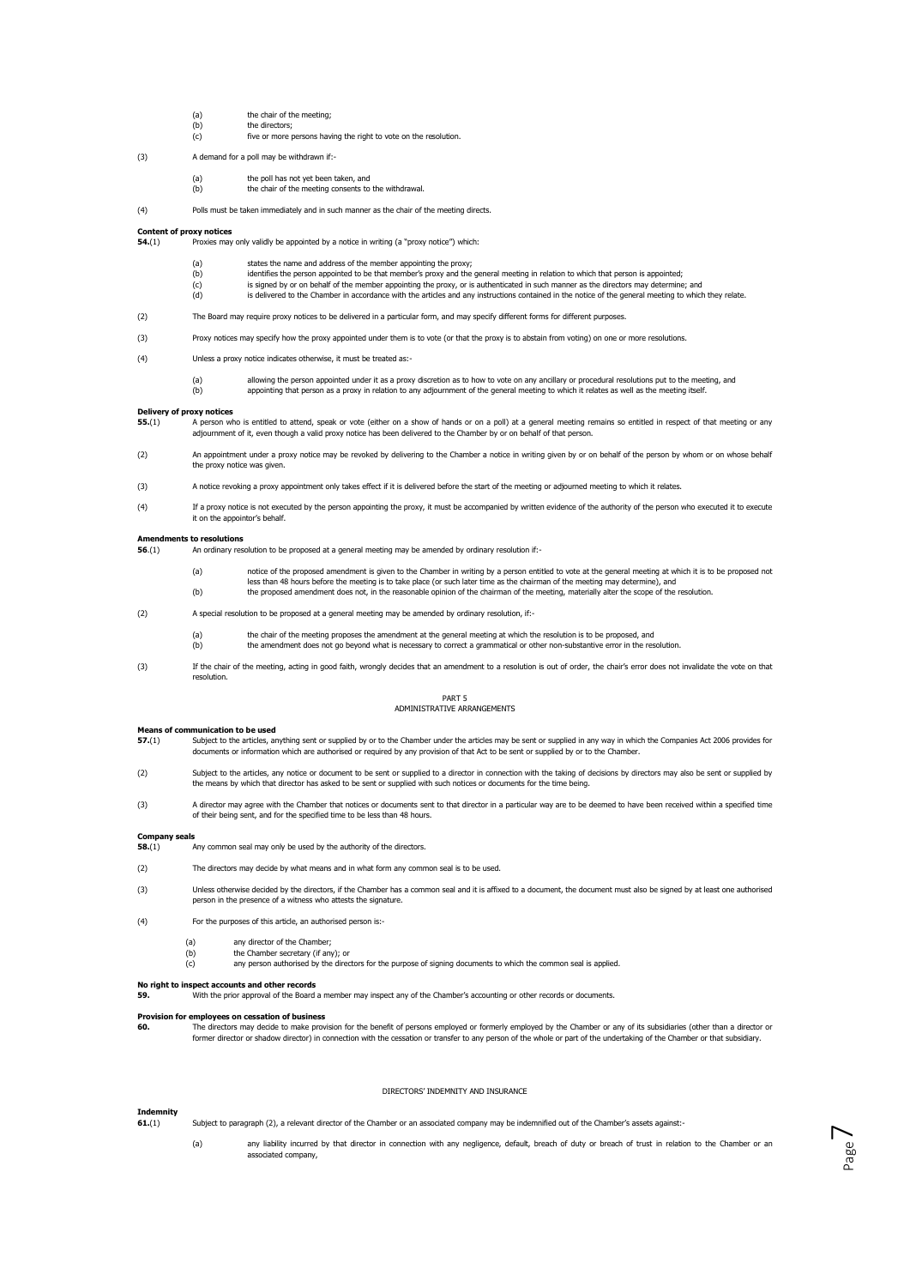- (a) the chair of the meeting;<br>(b) the directors;
- the directors; (c) five or more persons having the right to vote on the resolution.
- (3) A demand for a poll may be withdrawn if:-
	- (a) the poll has not yet been taken, and
	- (b) the chair of the meeting consents to the withdrawal.
- (4) Polls must be taken immediately and in such manner as the chair of the meeting directs.

# **Content of proxy notices**

- **54.**(1) Proxies may only validly be appointed by a notice in writing (a "proxy notice") which:
	-
	- (a) states the name and address of the member appointing the proxy;<br>(b) identifies the person appointed to be that member's proxy and the dentifies the name and didentifies the person appointed to be that member's proxy and the general meeting in relation to which that person is appointed;
	- (c) is signed by or on behalf of the member appointing the proxy, or is authenticated in such manner as the directors may determine; and<br>(d) is delivered to the Chamber in accordance with the articles and any instructions is delivered to the Chamber in accordance with the articles and any instructions contained in the notice of the general meeting to which they relate.
- (2) The Board may require proxy notices to be delivered in a particular form, and may specify different forms for different purposes.
- (3) Proxy notices may specify how the proxy appointed under them is to vote (or that the proxy is to abstain from voting) on one or more resolutions.
- (4) Unless a proxy notice indicates otherwise, it must be treated as:-
	- (a) allowing the person appointed under it as a proxy discretion as to how to vote on any ancillary or procedural resolutions put to the meeting, and (b) appointing that person as a proxy in relation to any adjournment of the general meeting to which it relates as well as the meeting itself.
- **Delivery of proxy notices**<br>55.(1) A person w
- **55.**(1) A person who is entitled to attend, speak or vote (either on a show of hands or on a poll) at a general meeting remains so entitled in respect of that meeting or any adjournment of it, even though a valid proxy notice has been delivered to the Chamber by or on behalf of that person.
- (2) An appointment under a proxy notice may be revoked by delivering to the Chamber a notice in writing given by or on behalf of the person by whom or on whose behalf the proxy notice was given.
- (3) A notice revoking a proxy appointment only takes effect if it is delivered before the start of the meeting or adjourned meeting to which it relates.
- (4) If a proxy notice is not executed by the person appointing the proxy, it must be accompanied by written evidence of the authority of the person who executed it to execute it on the appointor's behalf.

# **Amendments to resolutions**<br>56 (1) **An ordinary re**

**56**.(1) An ordinary resolution to be proposed at a general meeting may be amended by ordinary resolution if:-

- (a) notice of the proposed amendment is given to the Chamber in writing by a person entitled to vote at the general meeting at which it is to be proposed not less than 48 hours before the meeting is to take place (or such later time as the chairman of the meeting may determine), and (b) the proposed amendment does not, in the reasonable opinion of the chairman of the meeting, materially alter the scope of the resolution.
- (2) A special resolution to be proposed at a general meeting may be amended by ordinary resolution, if:
	- the chair of the meeting proposes the amendment at the general meeting at which the resolution is to be proposed, and
	- (b) the amendment does not go beyond what is necessary to correct a grammatical or other non-substantive error in the resolution.
- (3) If the chair of the meeting, acting in good faith, wrongly decides that an amendment to a resolution is out of order, the chair's error does not invalidate the vote on that resolution.

### PART 5 ADMINISTRATIVE ARRANGEMENTS

# **Means of communication to be used**<br>**57.**(1) Subject to the articles, and

- Subject to the articles, anything sent or supplied by or to the Chamber under the articles may be sent or supplied in any way in which the Companies Act 2006 provides for<br>documents or information which are authorised or re
- (2) Subject to the articles, any notice or document to be sent or supplied to a director in connection with the taking of decisions by directors may also be sent or supplied by the means by which that director has asked to be sent or supplied with such notices or documents for the time being.
- (3) A director may agree with the Chamber that notices or documents sent to that director in a particular way are to be deemed to have been received within a specified time<br>of their being sent, and for the specified time t

## **Company seals**

- **58.**(1) Any common seal may only be used by the authority of the directors.
- (2) The directors may decide by what means and in what form any common seal is to be used.
- (3) Unless otherwise decided by the directors, if the Chamber has a common seal and it is affixed to a document, the document must also be signed by at least one authorised person in the presence of a witness who attests the signature.
- (4) For the purposes of this article, an authorised person is:-
	- (a) any director of the Chamber;
	- (b) the Chamber secretary (if any); or
	- (c) any person authorised by the directors for the purpose of signing documents to which the common seal is applied.

## **No right to inspect accounts and other records**

**59.** With the prior approval of the Board a member may inspect any of the Chamber's accounting or other records or documents.

# **Provision for employees on cessation of business**

**60.** The directors may decide to make provision for the benefit of persons employed or formerly employed by the Chamber or any of its subsidiaries (other than a director or former director or shadow director) in connection with the cessation or transfer to any person of the whole or part of the undertaking of the Chamber or that subsidiary.

### DIRECTORS' INDEMNITY AND INSURANCE

# **Indem**<br>61.(1)

**61.**(1) Subject to paragraph (2), a relevant director of the Chamber or an associated company may be indemnified out of the Chamber's assets against:-

(a) any liability incurred by that director in connection with any negligence, default, breach of duty or breach of trust in relation to the Chamber or an associated company,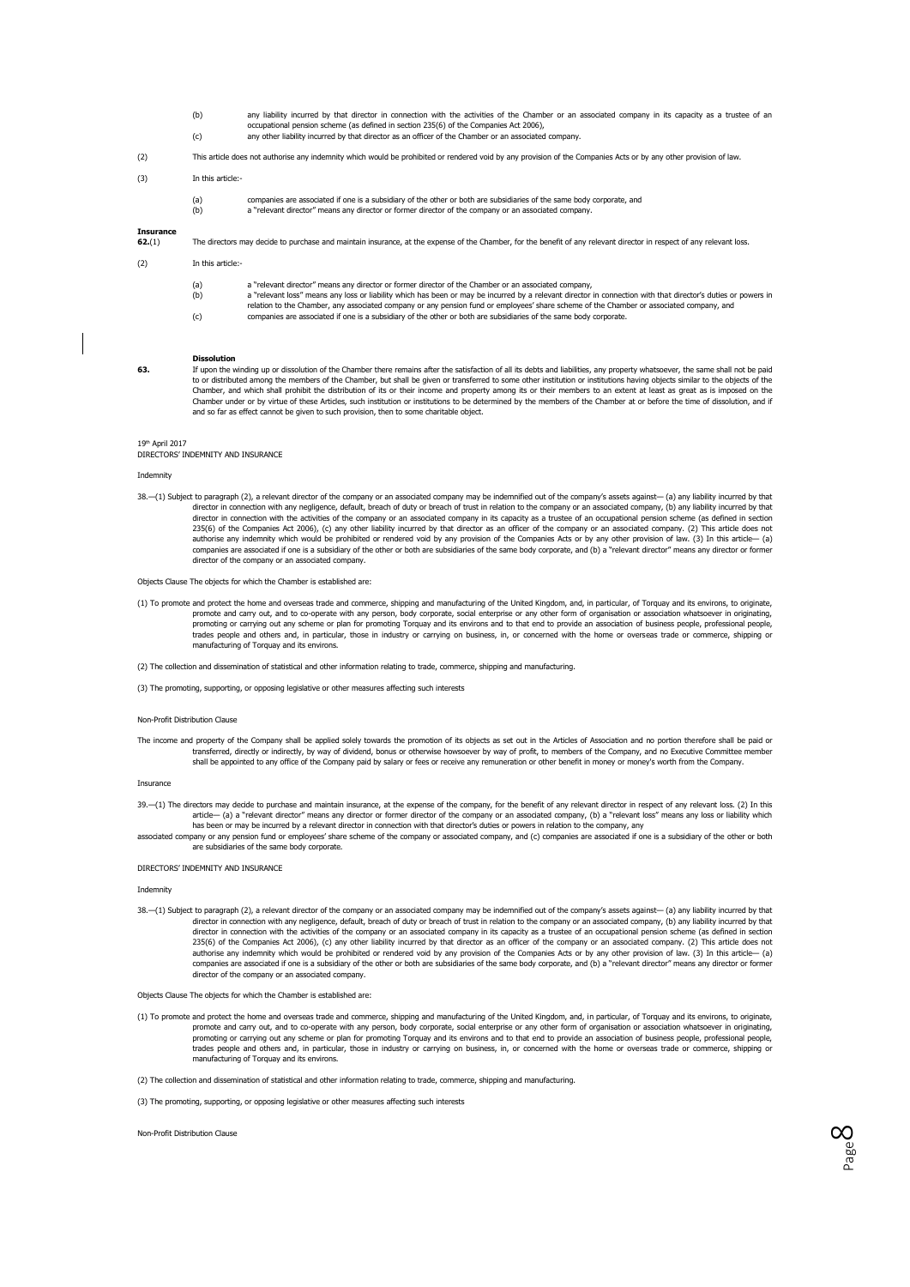- (b) any liability incurred by that director in connection with the activities of the Chamber or an associated company in its capacity as a trustee of an<br>occupational pension scheme (as defined in section 235(6) of the Comp
- (c) any other liability incurred by that director as an officer of the Chamber or an associated company.
- (2) This article does not authorise any indemnity which would be prohibited or rendered void by any provision of the Companies Acts or by any other provision of law.

# (3) In this article:-

(a) companies are associated if one is a subsidiary of the other or both are subsidiaries of the same body corporate, and a "relevant director" means any director or former director of the company or an associated compa

### **Insurance**

**62.**(1) The directors may decide to purchase and maintain insurance, at the expense of the Chamber, for the benefit of any relevant director in respect of any relevant loss.

### (2) In this article:-

- (a) a "relevant director" means any director or former director of the Chamber or an associated company,<br>(b) a "relevant loss" means any loss or liability which has been or may be incurred by a relevant director
- a "relevant loss" means any loss or liability which has been or may be incurred by a relevant director in connection with that director's duties or powers in<br>relation to the Chamber, any associated company or any pension f
- (c) companies are associated if one is a subsidiary of the other or both are subsidiaries of the same body corporate.

## **Dissolution**

**63.** If upon the winding up or dissolution of the Chamber there remains after the satisfaction of all its debts and liabilities, any property whatsoever, the same shall not be paid to or distributed among the members of the Chamber, but shall be given or transferred to some other institution or institutions having objects similar to the objects of the Chamber, and which shall prohibit the distribution of its or their income and property among its or their members to an extent at least as great as is imposed on the Chamber under or by virtue of these Articles, such institution or institutions to be determined by the members of the Chamber at or before the time of dissolution, and if and so far as effect cannot be given to such provision, then to some charitable object.

### 19th April 2017

DIRECTORS' INDEMNITY AND INSURANCE

Indemnity

38.—(1) Subject to paragraph (2), a relevant director of the company or an associated company may be indemnified out of the company's assets against— (a) any liability incurred by that director in connection with any negligence, default, breach of duty or breach of trust in relation to the company or an associated company, (b) any liability incurred by that director in connection with the activities of the company or an associated company in its capacity as a trustee of an occupational pension scheme (as defined in section<br>235(6) of the Companies Act 2006), (c) any other liab authorise any indemnity which would be prohibited or rendered void by any provision of the Companies Acts or by any other provision of law. (3) In this article— (a)<br>companies are associated if one is a subsidiary of the ot director of the company or an associated company.

### Objects Clause The objects for which the Chamber is established are:

- (1) To promote and protect the home and overseas trade and commerce, shipping and manufacturing of the United Kingdom, and, in particular, of Torquay and its environs, to originate,<br>promote and carry out, and to co-operate promoting or carrying out any scheme or plan for promoting Torquay and its environs and to that end to provide an association of business people, professional people, and others and in particular, those in industry or carr trades people and others and, in particular, those in industry or carrying on business, in, or concerned with the home or overseas trade or co manufacturing of Torquay and its environs.
- (2) The collection and dissemination of statistical and other information relating to trade, commerce, shipping and manufacturing.

(3) The promoting, supporting, or opposing legislative or other measures affecting such interests

### Non-Profit Distribution Clause

The income and property of the Company shall be applied solely towards the promotion of its objects as set out in the Articles of Association and no portion therefore shall be paid or<br>transferred, directly or indirectly, b shall be appointed to any office of the Company paid by salary or fees or receive any remuneration or other benefit in money or money's worth from the Company.

Insurance

- 39.—(1) The directors may decide to purchase and maintain insurance, at the expense of the company, for the benefit of any relevant director in respect of any relevant loss. (2) In this<br>article— (a) a "relevant director" m has been or may be incurred by a relevant director in connection with that director's duties or powers in relation to the company, any
- associated companies in the company or associated company, and (c) companies are associated if one is a subsidiary of the other or both panics are associated if one is a subsidiary of the other or both are subsidiaries of the same body corporate.

# DIRECTORS' INDEMNITY AND INSURANCE

### Indemnity

38.—(1) Subject to paragraph (2), a relevant director of the company or an associated company may be indemnified out of the company's assets against— (a) any liability incurred by that director in connection with any negligence, default, breach of duty or breach of trust in relation to the company or an associated company, (b) any liability incurred by that<br>director in connection with the activities of t 235(6) of the Companies Act 2006), (c) any other liability incurred by that director as an officer of the company or an associated company. (2) This article does not<br>authorise any indemnity which would be prohibited or ren companies are associated if one is a subsidiary of the other or both are subsidiaries of the same body corporate, and (b) a "relevant director" means any director or former director of the company or an associated company.

Objects Clause The objects for which the Chamber is established are:

(1) To promote and protect the home and overseas trade and commerce, shipping and manufacturing of the United Kingdom, and, in particular, of Torquay and its environs, to originate, promote and carry out, and to co-operate with any person, body corporate, social enterprise or any other form of organisation or association whatsoever in originating, promoting or carrying out any scheme or plan for promoting Torquay and its environs and to that end to provide an association of business people, professional people, trades people and others and, in particular, those in industry or carrying on business, in, or concerned with the home or overseas trade or commerce, shipping or manufacturing of Torquay and its environs.

> Page  $\infty$

(2) The collection and dissemination of statistical and other information relating to trade, commerce, shipping and manufacturing.

(3) The promoting, supporting, or opposing legislative or other measures affecting such interests

Non-Profit Distribution Clause